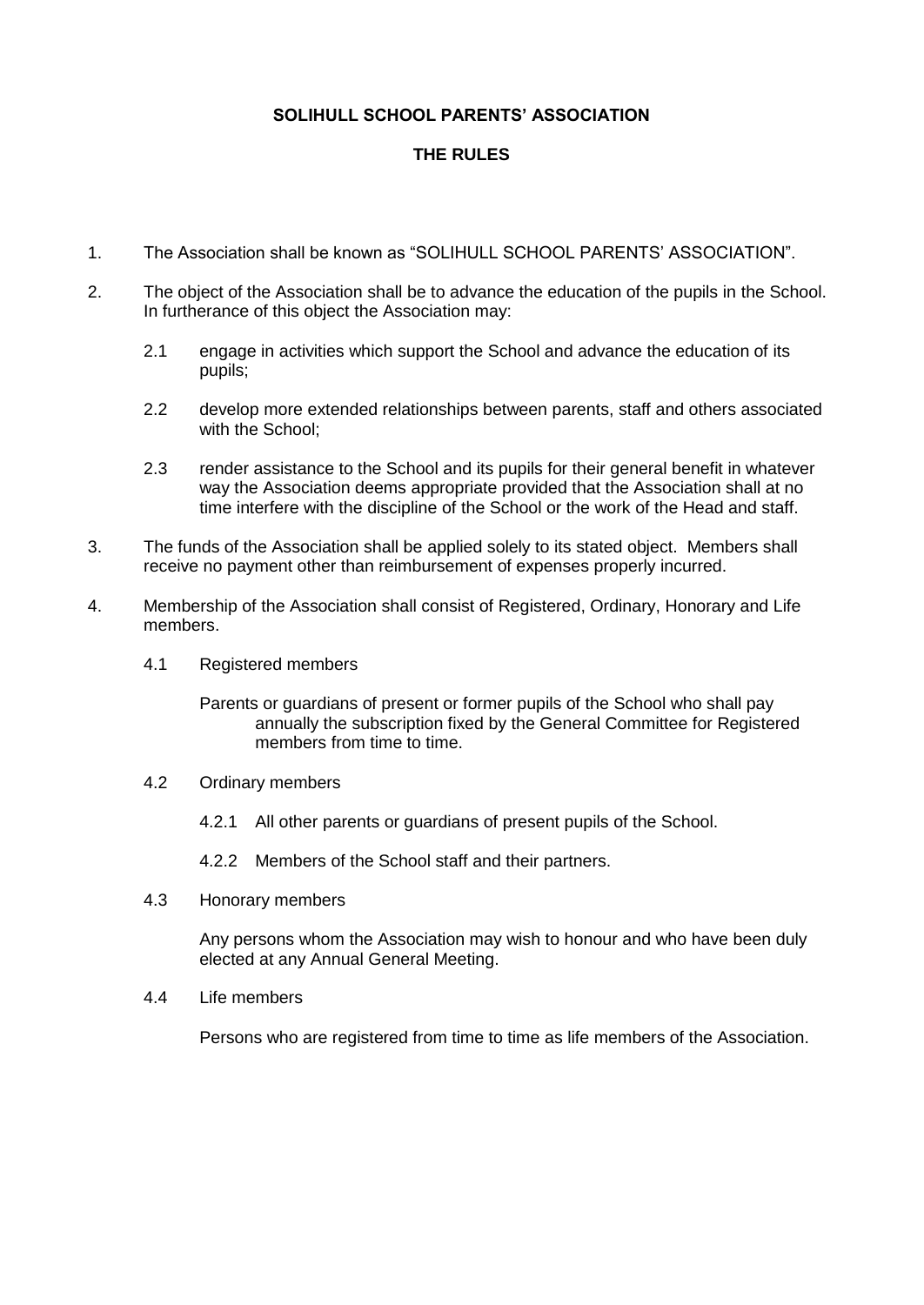## **SOLIHULL SCHOOL PARENTS' ASSOCIATION**

## **THE RULES**

- 1. The Association shall be known as "SOLIHULL SCHOOL PARENTS' ASSOCIATION".
- 2. The object of the Association shall be to advance the education of the pupils in the School. In furtherance of this object the Association may:
	- 2.1 engage in activities which support the School and advance the education of its pupils;
	- 2.2 develop more extended relationships between parents, staff and others associated with the School;
	- 2.3 render assistance to the School and its pupils for their general benefit in whatever way the Association deems appropriate provided that the Association shall at no time interfere with the discipline of the School or the work of the Head and staff.
- 3. The funds of the Association shall be applied solely to its stated object. Members shall receive no payment other than reimbursement of expenses properly incurred.
- 4. Membership of the Association shall consist of Registered, Ordinary, Honorary and Life members.
	- 4.1 Registered members
		- Parents or guardians of present or former pupils of the School who shall pay annually the subscription fixed by the General Committee for Registered members from time to time.
	- 4.2 Ordinary members
		- 4.2.1 All other parents or guardians of present pupils of the School.
		- 4.2.2 Members of the School staff and their partners.
	- 4.3 Honorary members

Any persons whom the Association may wish to honour and who have been duly elected at any Annual General Meeting.

4.4 Life members

Persons who are registered from time to time as life members of the Association.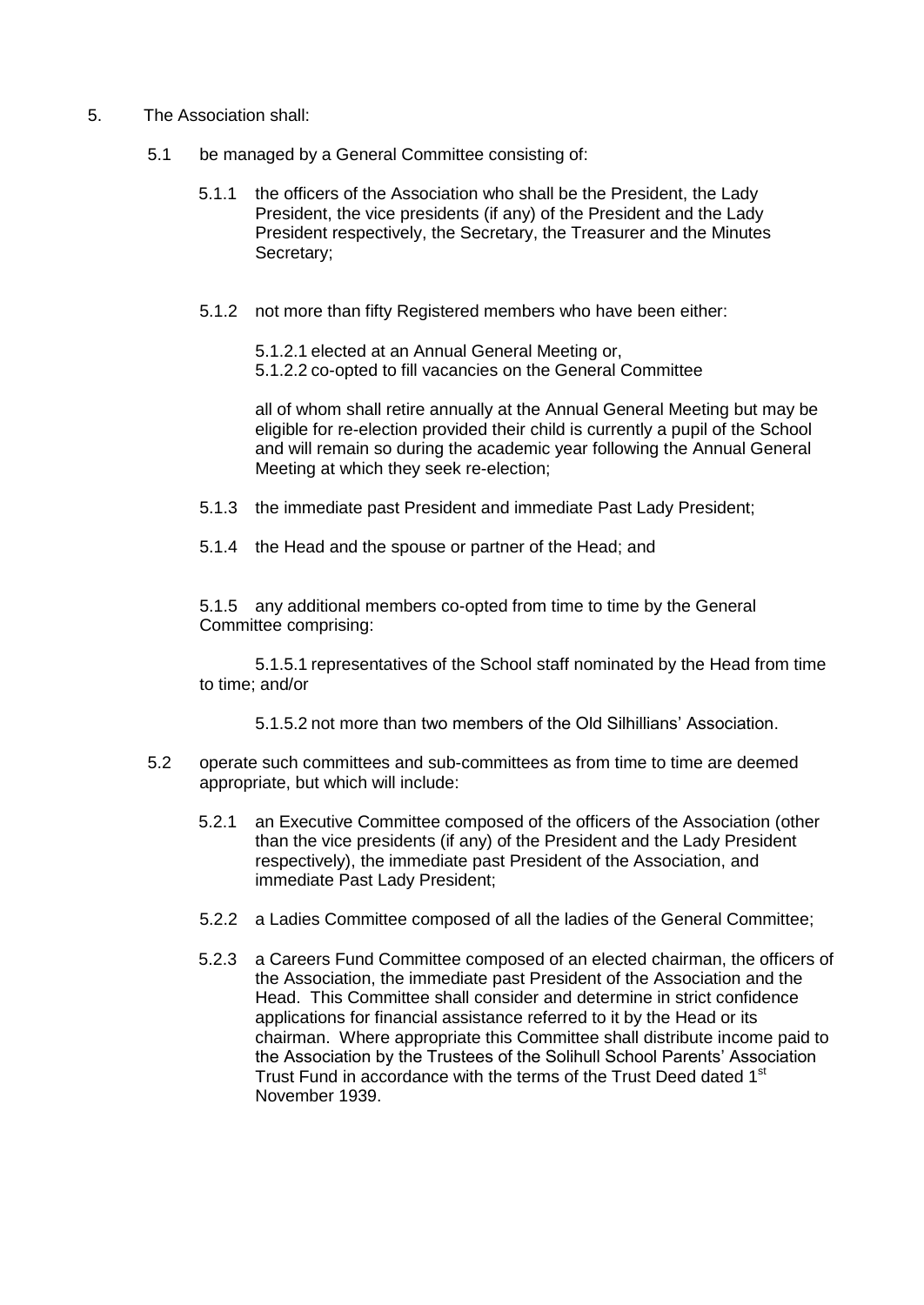- 5. The Association shall:
	- 5.1 be managed by a General Committee consisting of:
		- 5.1.1 the officers of the Association who shall be the President, the Lady President, the vice presidents (if any) of the President and the Lady President respectively, the Secretary, the Treasurer and the Minutes Secretary;
		- 5.1.2 not more than fifty Registered members who have been either:
			- 5.1.2.1 elected at an Annual General Meeting or,
			- 5.1.2.2 co-opted to fill vacancies on the General Committee

all of whom shall retire annually at the Annual General Meeting but may be eligible for re-election provided their child is currently a pupil of the School and will remain so during the academic year following the Annual General Meeting at which they seek re-election;

5.1.3 the immediate past President and immediate Past Lady President;

5.1.4 the Head and the spouse or partner of the Head; and

5.1.5 any additional members co-opted from time to time by the General Committee comprising:

5.1.5.1 representatives of the School staff nominated by the Head from time to time; and/or

5.1.5.2 not more than two members of the Old Silhillians' Association.

- 5.2 operate such committees and sub-committees as from time to time are deemed appropriate, but which will include:
	- 5.2.1 an Executive Committee composed of the officers of the Association (other than the vice presidents (if any) of the President and the Lady President respectively), the immediate past President of the Association, and immediate Past Lady President;
	- 5.2.2 a Ladies Committee composed of all the ladies of the General Committee;
	- 5.2.3 a Careers Fund Committee composed of an elected chairman, the officers of the Association, the immediate past President of the Association and the Head. This Committee shall consider and determine in strict confidence applications for financial assistance referred to it by the Head or its chairman. Where appropriate this Committee shall distribute income paid to the Association by the Trustees of the Solihull School Parents' Association Trust Fund in accordance with the terms of the Trust Deed dated 1<sup>st</sup> November 1939.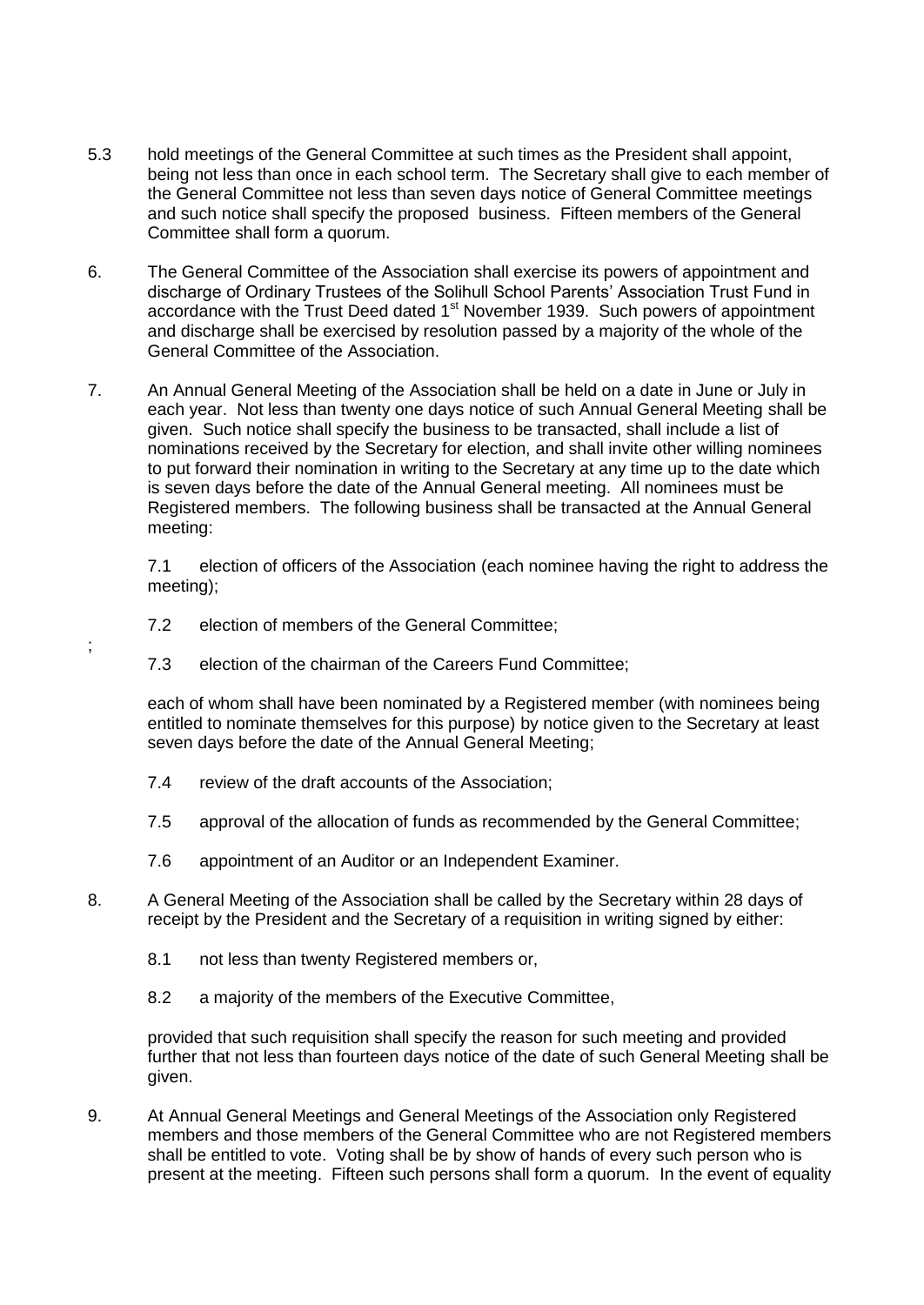- 5.3 hold meetings of the General Committee at such times as the President shall appoint, being not less than once in each school term. The Secretary shall give to each member of the General Committee not less than seven days notice of General Committee meetings and such notice shall specify the proposed business. Fifteen members of the General Committee shall form a quorum.
- 6. The General Committee of the Association shall exercise its powers of appointment and discharge of Ordinary Trustees of the Solihull School Parents' Association Trust Fund in accordance with the Trust Deed dated 1<sup>st</sup> November 1939. Such powers of appointment and discharge shall be exercised by resolution passed by a majority of the whole of the General Committee of the Association.
- 7. An Annual General Meeting of the Association shall be held on a date in June or July in each year. Not less than twenty one days notice of such Annual General Meeting shall be given. Such notice shall specify the business to be transacted, shall include a list of nominations received by the Secretary for election, and shall invite other willing nominees to put forward their nomination in writing to the Secretary at any time up to the date which is seven days before the date of the Annual General meeting. All nominees must be Registered members. The following business shall be transacted at the Annual General meeting:

7.1 election of officers of the Association (each nominee having the right to address the meeting);

7.2 election of members of the General Committee;

;

7.3 election of the chairman of the Careers Fund Committee;

each of whom shall have been nominated by a Registered member (with nominees being entitled to nominate themselves for this purpose) by notice given to the Secretary at least seven days before the date of the Annual General Meeting;

- 7.4 review of the draft accounts of the Association;
- 7.5 approval of the allocation of funds as recommended by the General Committee;
- 7.6 appointment of an Auditor or an Independent Examiner.
- 8. A General Meeting of the Association shall be called by the Secretary within 28 days of receipt by the President and the Secretary of a requisition in writing signed by either:
	- 8.1 not less than twenty Registered members or,
	- 8.2 a majority of the members of the Executive Committee,

provided that such requisition shall specify the reason for such meeting and provided further that not less than fourteen days notice of the date of such General Meeting shall be given.

9. At Annual General Meetings and General Meetings of the Association only Registered members and those members of the General Committee who are not Registered members shall be entitled to vote. Voting shall be by show of hands of every such person who is present at the meeting. Fifteen such persons shall form a quorum. In the event of equality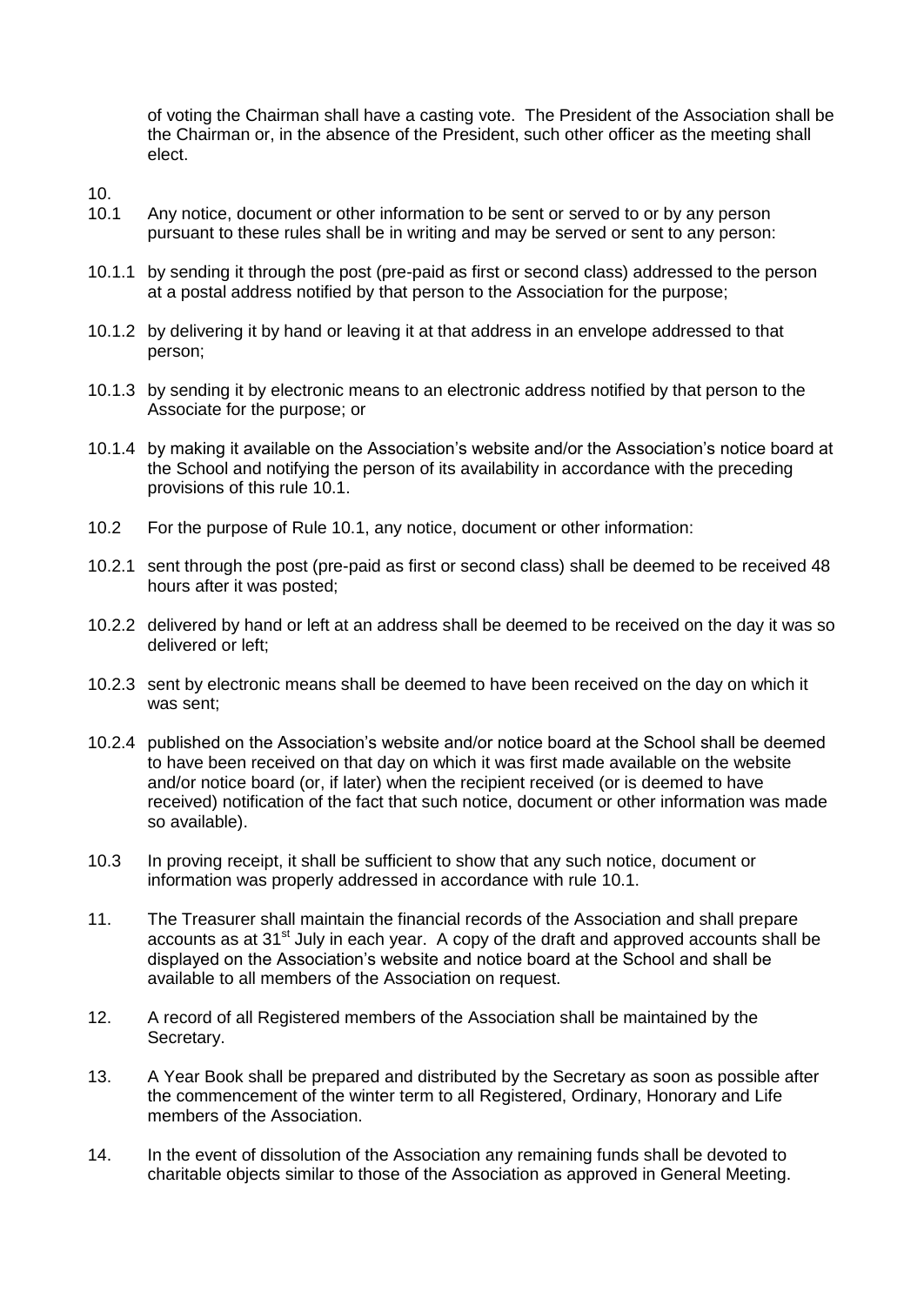of voting the Chairman shall have a casting vote. The President of the Association shall be the Chairman or, in the absence of the President, such other officer as the meeting shall elect.

- 10.
- 10.1 Any notice, document or other information to be sent or served to or by any person pursuant to these rules shall be in writing and may be served or sent to any person:
- 10.1.1 by sending it through the post (pre-paid as first or second class) addressed to the person at a postal address notified by that person to the Association for the purpose;
- 10.1.2 by delivering it by hand or leaving it at that address in an envelope addressed to that person;
- 10.1.3 by sending it by electronic means to an electronic address notified by that person to the Associate for the purpose; or
- 10.1.4 by making it available on the Association's website and/or the Association's notice board at the School and notifying the person of its availability in accordance with the preceding provisions of this rule 10.1.
- 10.2 For the purpose of Rule 10.1, any notice, document or other information:
- 10.2.1 sent through the post (pre-paid as first or second class) shall be deemed to be received 48 hours after it was posted;
- 10.2.2 delivered by hand or left at an address shall be deemed to be received on the day it was so delivered or left;
- 10.2.3 sent by electronic means shall be deemed to have been received on the day on which it was sent;
- 10.2.4 published on the Association's website and/or notice board at the School shall be deemed to have been received on that day on which it was first made available on the website and/or notice board (or, if later) when the recipient received (or is deemed to have received) notification of the fact that such notice, document or other information was made so available).
- 10.3 In proving receipt, it shall be sufficient to show that any such notice, document or information was properly addressed in accordance with rule 10.1.
- 11. The Treasurer shall maintain the financial records of the Association and shall prepare accounts as at  $31<sup>st</sup>$  July in each year. A copy of the draft and approved accounts shall be displayed on the Association's website and notice board at the School and shall be available to all members of the Association on request.
- 12. A record of all Registered members of the Association shall be maintained by the Secretary.
- 13. A Year Book shall be prepared and distributed by the Secretary as soon as possible after the commencement of the winter term to all Registered, Ordinary, Honorary and Life members of the Association.
- 14. In the event of dissolution of the Association any remaining funds shall be devoted to charitable objects similar to those of the Association as approved in General Meeting.